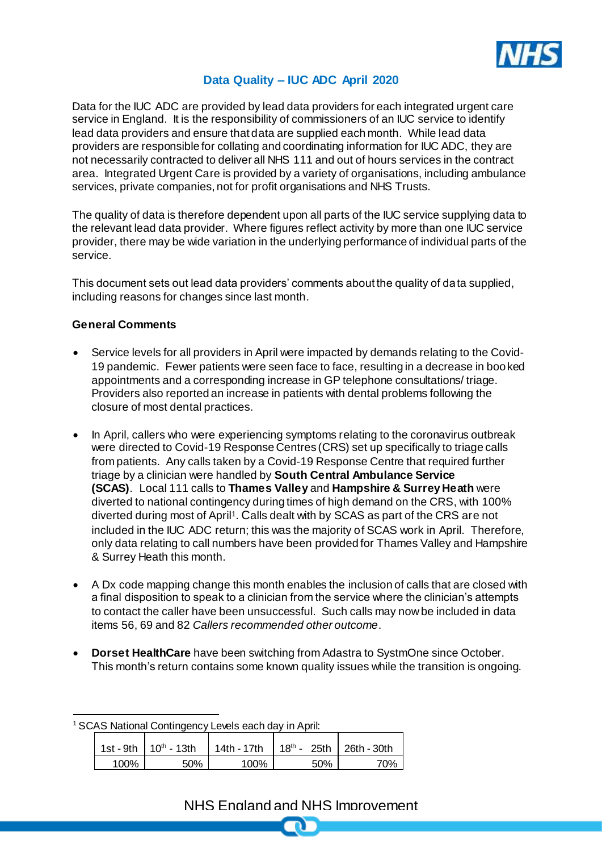

#### **Data Quality – IUC ADC April 2020**

Data for the IUC ADC are provided by lead data providers for each integrated urgent care service in England. It is the responsibility of commissioners of an IUC service to identify lead data providers and ensure that data are supplied each month. While lead data providers are responsible for collating and coordinating information for IUC ADC, they are not necessarily contracted to deliver all NHS 111 and out of hours services in the contract area. Integrated Urgent Care is provided by a variety of organisations, including ambulance services, private companies, not for profit organisations and NHS Trusts.

The quality of data is therefore dependent upon all parts of the IUC service supplying data to the relevant lead data provider. Where figures reflect activity by more than one IUC service provider, there may be wide variation in the underlying performance of individual parts of the service.

This document sets out lead data providers' comments about the quality of data supplied, including reasons for changes since last month.

#### **General Comments**

- Service levels for all providers in April were impacted by demands relating to the Covid-19 pandemic. Fewer patients were seen face to face, resulting in a decrease in booked appointments and a corresponding increase in GP telephone consultations/ triage. Providers also reported an increase in patients with dental problems following the closure of most dental practices.
- In April, callers who were experiencing symptoms relating to the coronavirus outbreak were directed to Covid-19 Response Centres (CRS) set up specifically to triage calls from patients. Any calls taken by a Covid-19 Response Centre that required further triage by a clinician were handled by **South Central Ambulance Service (SCAS)**. Local 111 calls to **Thames Valley** and **Hampshire & Surrey Heath** were diverted to national contingency during times of high demand on the CRS, with 100% diverted during most of April<sup>1</sup>. Calls dealt with by SCAS as part of the CRS are not included in the IUC ADC return; this was the majority of SCAS work in April. Therefore, only data relating to call numbers have been provided for Thames Valley and Hampshire & Surrey Heath this month.
- A Dx code mapping change this month enables the inclusion of calls that are closed with a final disposition to speak to a clinician from the service where the clinician's attempts to contact the caller have been unsuccessful. Such calls may now be included in data items 56, 69 and 82 *Callers recommended other outcome*.
- **Dorset HealthCare** have been switching from Adastra to SystmOne since October. This month's return contains some known quality issues while the transition is ongoing.

l

|      | 1st - 9th   $10^{th}$ - 13th | 14th - 17th   18 <sup>th</sup> - 25th   26th - 30th |     |     |
|------|------------------------------|-----------------------------------------------------|-----|-----|
| 100% | 50%                          | 100%                                                | 50% | 70% |

## NHS England and NHS Improvement

<sup>1</sup> SCAS National Contingency Levels each day in April: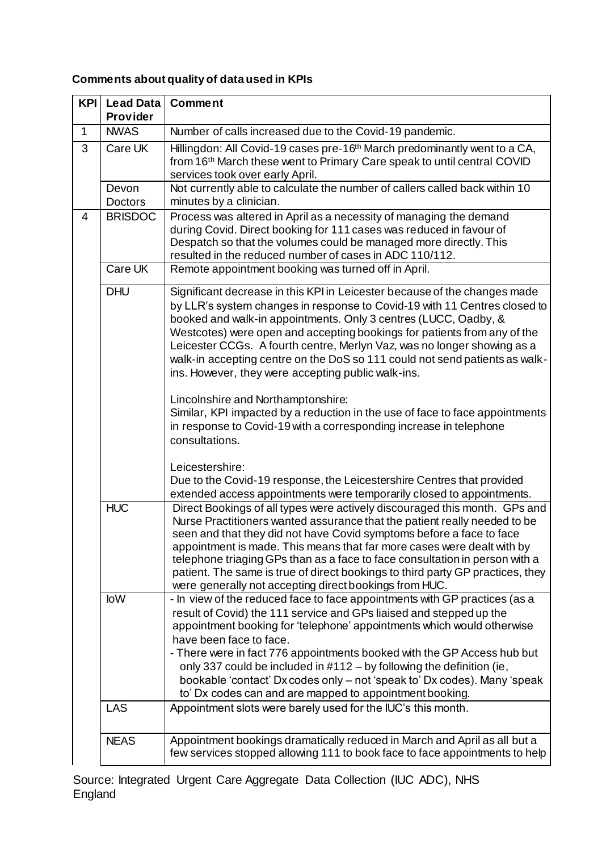# **Comments about quality of data used in KPIs**

| <b>KPI</b> | <b>Lead Data</b>        | Comment                                                                                                                                                                                                                                                                                                                                                                                                                                                                                                                                           |
|------------|-------------------------|---------------------------------------------------------------------------------------------------------------------------------------------------------------------------------------------------------------------------------------------------------------------------------------------------------------------------------------------------------------------------------------------------------------------------------------------------------------------------------------------------------------------------------------------------|
|            | Provider                |                                                                                                                                                                                                                                                                                                                                                                                                                                                                                                                                                   |
| 1          | <b>NWAS</b>             | Number of calls increased due to the Covid-19 pandemic.                                                                                                                                                                                                                                                                                                                                                                                                                                                                                           |
| 3          | Care UK                 | Hillingdon: All Covid-19 cases pre-16 <sup>th</sup> March predominantly went to a CA,<br>from 16th March these went to Primary Care speak to until central COVID<br>services took over early April.                                                                                                                                                                                                                                                                                                                                               |
|            | Devon<br><b>Doctors</b> | Not currently able to calculate the number of callers called back within 10<br>minutes by a clinician.                                                                                                                                                                                                                                                                                                                                                                                                                                            |
| 4          | <b>BRISDOC</b>          | Process was altered in April as a necessity of managing the demand<br>during Covid. Direct booking for 111 cases was reduced in favour of<br>Despatch so that the volumes could be managed more directly. This<br>resulted in the reduced number of cases in ADC 110/112.                                                                                                                                                                                                                                                                         |
|            | Care UK                 | Remote appointment booking was turned off in April.                                                                                                                                                                                                                                                                                                                                                                                                                                                                                               |
|            | <b>DHU</b>              | Significant decrease in this KPI in Leicester because of the changes made<br>by LLR's system changes in response to Covid-19 with 11 Centres closed to<br>booked and walk-in appointments. Only 3 centres (LUCC, Oadby, &<br>Westcotes) were open and accepting bookings for patients from any of the<br>Leicester CCGs. A fourth centre, Merlyn Vaz, was no longer showing as a<br>walk-in accepting centre on the DoS so 111 could not send patients as walk-<br>ins. However, they were accepting public walk-ins.                             |
|            |                         | Lincolnshire and Northamptonshire:<br>Similar, KPI impacted by a reduction in the use of face to face appointments<br>in response to Covid-19 with a corresponding increase in telephone<br>consultations.                                                                                                                                                                                                                                                                                                                                        |
|            |                         | Leicestershire:<br>Due to the Covid-19 response, the Leicestershire Centres that provided<br>extended access appointments were temporarily closed to appointments.                                                                                                                                                                                                                                                                                                                                                                                |
|            | <b>HUC</b>              | Direct Bookings of all types were actively discouraged this month. GPs and<br>Nurse Practitioners wanted assurance that the patient really needed to be<br>seen and that they did not have Covid symptoms before a face to face<br>appointment is made. This means that far more cases were dealt with by<br>telephone triaging GPs than as a face to face consultation in person with a<br>patient. The same is true of direct bookings to third party GP practices, they<br>were generally not accepting direct bookings from HUC.              |
|            | <b>loW</b>              | - In view of the reduced face to face appointments with GP practices (as a<br>result of Covid) the 111 service and GPs liaised and stepped up the<br>appointment booking for 'telephone' appointments which would otherwise<br>have been face to face.<br>- There were in fact 776 appointments booked with the GP Access hub but<br>only 337 could be included in #112 - by following the definition (ie,<br>bookable 'contact' Dx codes only - not 'speak to' Dx codes). Many 'speak<br>to' Dx codes can and are mapped to appointment booking. |
|            | <b>LAS</b>              | Appointment slots were barely used for the IUC's this month.                                                                                                                                                                                                                                                                                                                                                                                                                                                                                      |
|            | <b>NEAS</b>             | Appointment bookings dramatically reduced in March and April as all but a<br>few services stopped allowing 111 to book face to face appointments to help                                                                                                                                                                                                                                                                                                                                                                                          |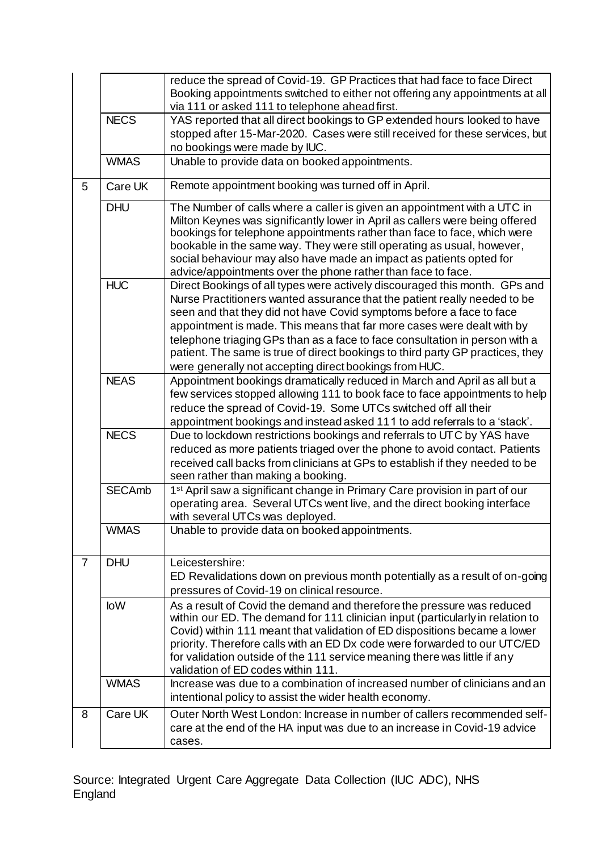|                |                                                                                                                                                                          | reduce the spread of Covid-19. GP Practices that had face to face Direct<br>Booking appointments switched to either not offering any appointments at all                                                                                                                                                                                                                                                                                                                                                                             |
|----------------|--------------------------------------------------------------------------------------------------------------------------------------------------------------------------|--------------------------------------------------------------------------------------------------------------------------------------------------------------------------------------------------------------------------------------------------------------------------------------------------------------------------------------------------------------------------------------------------------------------------------------------------------------------------------------------------------------------------------------|
|                |                                                                                                                                                                          | via 111 or asked 111 to telephone ahead first.                                                                                                                                                                                                                                                                                                                                                                                                                                                                                       |
|                | <b>NECS</b><br>YAS reported that all direct bookings to GP extended hours looked to have<br>stopped after 15-Mar-2020. Cases were still received for these services, but |                                                                                                                                                                                                                                                                                                                                                                                                                                                                                                                                      |
|                |                                                                                                                                                                          | no bookings were made by IUC.                                                                                                                                                                                                                                                                                                                                                                                                                                                                                                        |
|                | <b>WMAS</b>                                                                                                                                                              | Unable to provide data on booked appointments.                                                                                                                                                                                                                                                                                                                                                                                                                                                                                       |
|                |                                                                                                                                                                          |                                                                                                                                                                                                                                                                                                                                                                                                                                                                                                                                      |
| 5              | Care UK                                                                                                                                                                  | Remote appointment booking was turned off in April.                                                                                                                                                                                                                                                                                                                                                                                                                                                                                  |
|                | <b>DHU</b>                                                                                                                                                               | The Number of calls where a caller is given an appointment with a UTC in<br>Milton Keynes was significantly lower in April as callers were being offered<br>bookings for telephone appointments rather than face to face, which were<br>bookable in the same way. They were still operating as usual, however,<br>social behaviour may also have made an impact as patients opted for<br>advice/appointments over the phone rather than face to face.                                                                                |
|                | <b>HUC</b>                                                                                                                                                               | Direct Bookings of all types were actively discouraged this month. GPs and<br>Nurse Practitioners wanted assurance that the patient really needed to be<br>seen and that they did not have Covid symptoms before a face to face<br>appointment is made. This means that far more cases were dealt with by<br>telephone triaging GPs than as a face to face consultation in person with a<br>patient. The same is true of direct bookings to third party GP practices, they<br>were generally not accepting direct bookings from HUC. |
|                | <b>NEAS</b>                                                                                                                                                              | Appointment bookings dramatically reduced in March and April as all but a<br>few services stopped allowing 111 to book face to face appointments to help<br>reduce the spread of Covid-19. Some UTCs switched off all their<br>appointment bookings and instead asked 111 to add referrals to a 'stack'.                                                                                                                                                                                                                             |
|                | <b>NECS</b>                                                                                                                                                              | Due to lockdown restrictions bookings and referrals to UTC by YAS have<br>reduced as more patients triaged over the phone to avoid contact. Patients<br>received call backs from clinicians at GPs to establish if they needed to be<br>seen rather than making a booking.                                                                                                                                                                                                                                                           |
|                | <b>SECAmb</b>                                                                                                                                                            | 1 <sup>st</sup> April saw a significant change in Primary Care provision in part of our<br>operating area. Several UTCs went live, and the direct booking interface<br>with several UTCs was deployed.                                                                                                                                                                                                                                                                                                                               |
|                | <b>WMAS</b>                                                                                                                                                              | Unable to provide data on booked appointments.                                                                                                                                                                                                                                                                                                                                                                                                                                                                                       |
| $\overline{7}$ | <b>DHU</b>                                                                                                                                                               | Leicestershire:<br>ED Revalidations down on previous month potentially as a result of on-going<br>pressures of Covid-19 on clinical resource.                                                                                                                                                                                                                                                                                                                                                                                        |
|                | <b>loW</b>                                                                                                                                                               | As a result of Covid the demand and therefore the pressure was reduced<br>within our ED. The demand for 111 clinician input (particularly in relation to<br>Covid) within 111 meant that validation of ED dispositions became a lower<br>priority. Therefore calls with an ED Dx code were forwarded to our UTC/ED<br>for validation outside of the 111 service meaning there was little if any<br>validation of ED codes within 111.                                                                                                |
|                | <b>WMAS</b>                                                                                                                                                              | Increase was due to a combination of increased number of clinicians and an<br>intentional policy to assist the wider health economy.                                                                                                                                                                                                                                                                                                                                                                                                 |
| 8              | Care UK                                                                                                                                                                  | Outer North West London: Increase in number of callers recommended self-<br>care at the end of the HA input was due to an increase in Covid-19 advice<br>cases.                                                                                                                                                                                                                                                                                                                                                                      |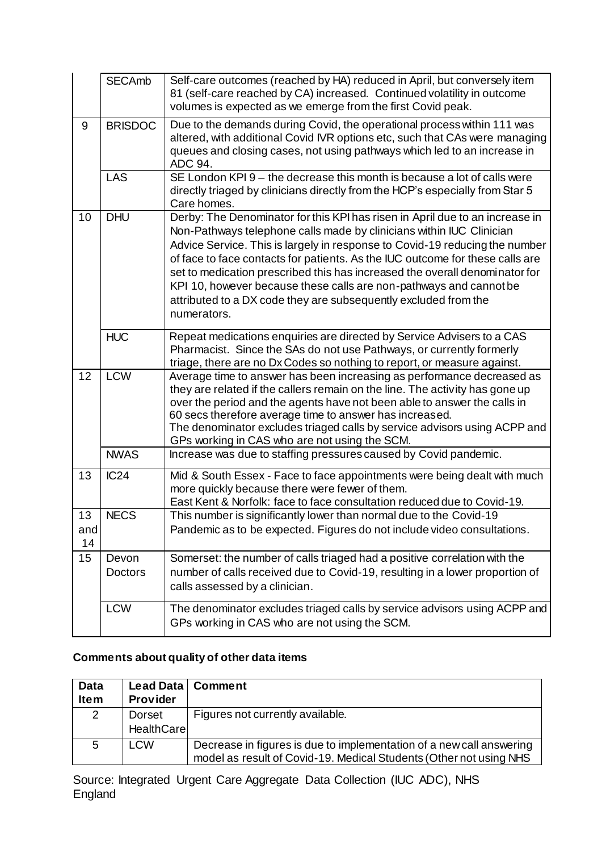|                 | <b>SECAmb</b>    | Self-care outcomes (reached by HA) reduced in April, but conversely item<br>81 (self-care reached by CA) increased. Continued volatility in outcome<br>volumes is expected as we emerge from the first Covid peak.                                                                                                                                                                                                                                                                                                                                          |
|-----------------|------------------|-------------------------------------------------------------------------------------------------------------------------------------------------------------------------------------------------------------------------------------------------------------------------------------------------------------------------------------------------------------------------------------------------------------------------------------------------------------------------------------------------------------------------------------------------------------|
| 9               | <b>BRISDOC</b>   | Due to the demands during Covid, the operational process within 111 was<br>altered, with additional Covid IVR options etc, such that CAs were managing<br>queues and closing cases, not using pathways which led to an increase in<br>ADC 94.                                                                                                                                                                                                                                                                                                               |
|                 | <b>LAS</b>       | SE London KPI 9 - the decrease this month is because a lot of calls were<br>directly triaged by clinicians directly from the HCP's especially from Star 5<br>Care homes.                                                                                                                                                                                                                                                                                                                                                                                    |
| 10              | <b>DHU</b>       | Derby: The Denominator for this KPI has risen in April due to an increase in<br>Non-Pathways telephone calls made by clinicians within IUC Clinician<br>Advice Service. This is largely in response to Covid-19 reducing the number<br>of face to face contacts for patients. As the IUC outcome for these calls are<br>set to medication prescribed this has increased the overall denominator for<br>KPI 10, however because these calls are non-pathways and cannot be<br>attributed to a DX code they are subsequently excluded from the<br>numerators. |
|                 | <b>HUC</b>       | Repeat medications enquiries are directed by Service Advisers to a CAS<br>Pharmacist. Since the SAs do not use Pathways, or currently formerly<br>triage, there are no Dx Codes so nothing to report, or measure against.                                                                                                                                                                                                                                                                                                                                   |
| 12              | <b>LCW</b>       | Average time to answer has been increasing as performance decreased as<br>they are related if the callers remain on the line. The activity has gone up<br>over the period and the agents have not been able to answer the calls in<br>60 secs therefore average time to answer has increased.<br>The denominator excludes triaged calls by service advisors using ACPP and<br>GPs working in CAS who are not using the SCM.                                                                                                                                 |
|                 | <b>NWAS</b>      | Increase was due to staffing pressures caused by Covid pandemic.                                                                                                                                                                                                                                                                                                                                                                                                                                                                                            |
| 13              | IC24             | Mid & South Essex - Face to face appointments were being dealt with much<br>more quickly because there were fewer of them.<br>East Kent & Norfolk: face to face consultation reduced due to Covid-19.                                                                                                                                                                                                                                                                                                                                                       |
| 13<br>and<br>14 | <b>NECS</b>      | This number is significantly lower than normal due to the Covid-19<br>Pandemic as to be expected. Figures do not include video consultations.                                                                                                                                                                                                                                                                                                                                                                                                               |
| 15              | Devon<br>Doctors | Somerset: the number of calls triaged had a positive correlation with the<br>number of calls received due to Covid-19, resulting in a lower proportion of<br>calls assessed by a clinician.                                                                                                                                                                                                                                                                                                                                                                 |
|                 | <b>LCW</b>       | The denominator excludes triaged calls by service advisors using ACPP and<br>GPs working in CAS who are not using the SCM.                                                                                                                                                                                                                                                                                                                                                                                                                                  |

### **Comments about quality of other data items**

| <b>Data</b><br><b>Item</b> | Provider                    | Lead Data   Comment                                                                                                                        |
|----------------------------|-----------------------------|--------------------------------------------------------------------------------------------------------------------------------------------|
| $\overline{2}$             | Dorset<br><b>HealthCare</b> | Figures not currently available.                                                                                                           |
| 5                          | <b>LCW</b>                  | Decrease in figures is due to implementation of a new call answering<br>model as result of Covid-19. Medical Students (Other not using NHS |

Source: Integrated Urgent Care Aggregate Data Collection (IUC ADC), NHS England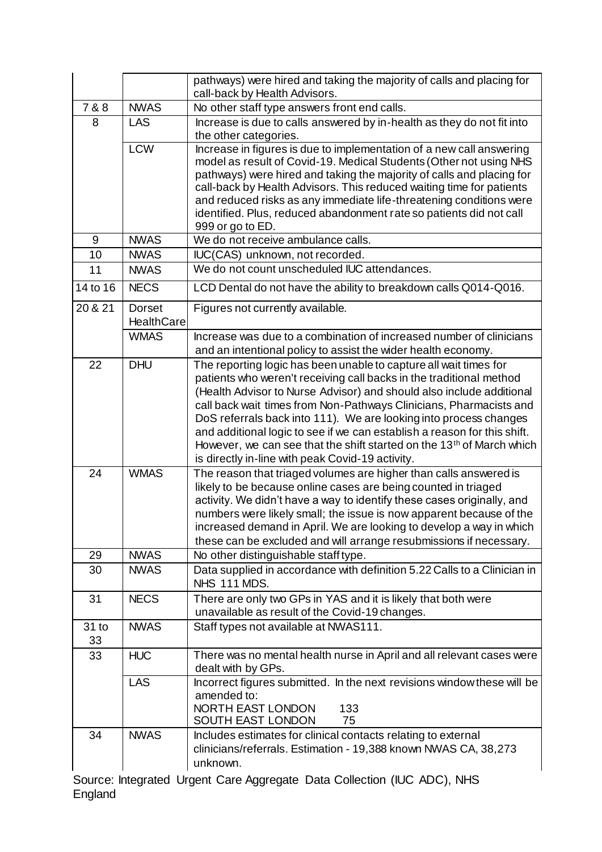|          |                   | pathways) were hired and taking the majority of calls and placing for<br>call-back by Health Advisors.                                     |
|----------|-------------------|--------------------------------------------------------------------------------------------------------------------------------------------|
| 7 & 8    | <b>NWAS</b>       | No other staff type answers front end calls.                                                                                               |
| 8        | <b>LAS</b>        | Increase is due to calls answered by in-health as they do not fit into                                                                     |
|          |                   | the other categories.                                                                                                                      |
|          | <b>LCW</b>        | Increase in figures is due to implementation of a new call answering                                                                       |
|          |                   | model as result of Covid-19. Medical Students (Other not using NHS                                                                         |
|          |                   | pathways) were hired and taking the majority of calls and placing for                                                                      |
|          |                   | call-back by Health Advisors. This reduced waiting time for patients                                                                       |
|          |                   | and reduced risks as any immediate life-threatening conditions were<br>identified. Plus, reduced abandonment rate so patients did not call |
|          |                   | 999 or go to ED.                                                                                                                           |
| 9        | <b>NWAS</b>       | We do not receive ambulance calls.                                                                                                         |
| 10       | <b>NWAS</b>       | IUC(CAS) unknown, not recorded.                                                                                                            |
| 11       | <b>NWAS</b>       | We do not count unscheduled IUC attendances.                                                                                               |
|          |                   |                                                                                                                                            |
| 14 to 16 | <b>NECS</b>       | LCD Dental do not have the ability to breakdown calls Q014-Q016.                                                                           |
| 20 & 21  | <b>Dorset</b>     | Figures not currently available.                                                                                                           |
|          | <b>HealthCare</b> |                                                                                                                                            |
|          | <b>WMAS</b>       | Increase was due to a combination of increased number of clinicians                                                                        |
|          |                   | and an intentional policy to assist the wider health economy.                                                                              |
| 22       | <b>DHU</b>        | The reporting logic has been unable to capture all wait times for                                                                          |
|          |                   | patients who weren't receiving call backs in the traditional method                                                                        |
|          |                   | (Health Advisor to Nurse Advisor) and should also include additional                                                                       |
|          |                   | call back wait times from Non-Pathways Clinicians, Pharmacists and<br>DoS referrals back into 111). We are looking into process changes    |
|          |                   | and additional logic to see if we can establish a reason for this shift.                                                                   |
|          |                   | However, we can see that the shift started on the 13 <sup>th</sup> of March which                                                          |
|          |                   | is directly in-line with peak Covid-19 activity.                                                                                           |
| 24       | <b>WMAS</b>       | The reason that triaged volumes are higher than calls answered is                                                                          |
|          |                   | likely to be because online cases are being counted in triaged                                                                             |
|          |                   | activity. We didn't have a way to identify these cases originally, and                                                                     |
|          |                   | numbers were likely small; the issue is now apparent because of the                                                                        |
|          |                   | increased demand in April. We are looking to develop a way in which                                                                        |
|          |                   | these can be excluded and will arrange resubmissions if necessary.                                                                         |
| 29       | <b>NWAS</b>       | No other distinguishable staff type.                                                                                                       |
| 30       | <b>NWAS</b>       | Data supplied in accordance with definition 5.22 Calls to a Clinician in                                                                   |
|          |                   | NHS 111 MDS.                                                                                                                               |
| 31       | <b>NECS</b>       | There are only two GPs in YAS and it is likely that both were                                                                              |
|          |                   | unavailable as result of the Covid-19 changes.                                                                                             |
| 31 to    | <b>NWAS</b>       | Staff types not available at NWAS111.                                                                                                      |
| 33       |                   |                                                                                                                                            |
| 33       | <b>HUC</b>        | There was no mental health nurse in April and all relevant cases were<br>dealt with by GPs.                                                |
|          | <b>LAS</b>        | Incorrect figures submitted. In the next revisions window these will be                                                                    |
|          |                   | amended to:                                                                                                                                |
|          |                   | NORTH EAST LONDON<br>133                                                                                                                   |
|          |                   | SOUTH EAST LONDON<br>75                                                                                                                    |
| 34       | <b>NWAS</b>       | Includes estimates for clinical contacts relating to external                                                                              |
|          |                   | clinicians/referrals. Estimation - 19,388 known NWAS CA, 38,273                                                                            |
|          |                   | unknown.                                                                                                                                   |
|          |                   | Source: Integrated Urgent Care Aggregate Data Collection (IUC ADC) NIHO                                                                    |

Source: Integrated Urgent Care Aggregate Data Collection (IUC ADC), NHS England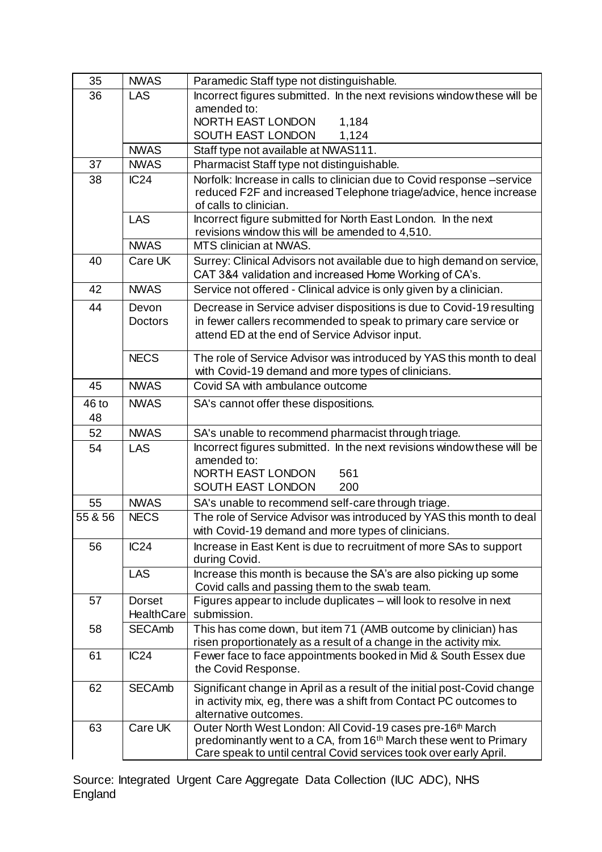| 35          | <b>NWAS</b>                 | Paramedic Staff type not distinguishable.                                                                                                                                                                                    |
|-------------|-----------------------------|------------------------------------------------------------------------------------------------------------------------------------------------------------------------------------------------------------------------------|
| 36          | <b>LAS</b>                  | Incorrect figures submitted. In the next revisions window these will be                                                                                                                                                      |
|             |                             | amended to:                                                                                                                                                                                                                  |
|             |                             | NORTH EAST LONDON<br>1,184                                                                                                                                                                                                   |
|             |                             | SOUTH EAST LONDON<br>1,124                                                                                                                                                                                                   |
|             | <b>NWAS</b>                 | Staff type not available at NWAS111.                                                                                                                                                                                         |
| 37          | <b>NWAS</b>                 | Pharmacist Staff type not distinguishable.                                                                                                                                                                                   |
| 38          | IC24                        | Norfolk: Increase in calls to clinician due to Covid response-service<br>reduced F2F and increased Telephone triage/advice, hence increase<br>of calls to clinician.                                                         |
|             | <b>LAS</b>                  | Incorrect figure submitted for North East London. In the next<br>revisions window this will be amended to 4,510.                                                                                                             |
|             | <b>NWAS</b>                 | MTS clinician at NWAS.                                                                                                                                                                                                       |
| 40          | Care UK                     | Surrey: Clinical Advisors not available due to high demand on service,<br>CAT 3&4 validation and increased Home Working of CA's.                                                                                             |
| 42          | <b>NWAS</b>                 | Service not offered - Clinical advice is only given by a clinician.                                                                                                                                                          |
| 44          | Devon                       | Decrease in Service adviser dispositions is due to Covid-19 resulting                                                                                                                                                        |
|             | <b>Doctors</b>              | in fewer callers recommended to speak to primary care service or<br>attend ED at the end of Service Advisor input.                                                                                                           |
|             | <b>NECS</b>                 | The role of Service Advisor was introduced by YAS this month to deal<br>with Covid-19 demand and more types of clinicians.                                                                                                   |
| 45          | <b>NWAS</b>                 | Covid SA with ambulance outcome                                                                                                                                                                                              |
| 46 to<br>48 | <b>NWAS</b>                 | SA's cannot offer these dispositions.                                                                                                                                                                                        |
| 52          | <b>NWAS</b>                 | SA's unable to recommend pharmacist through triage.                                                                                                                                                                          |
| 54          | <b>LAS</b>                  | Incorrect figures submitted. In the next revisions window these will be<br>amended to:<br>NORTH EAST LONDON<br>561<br>SOUTH EAST LONDON<br>200                                                                               |
| 55          | <b>NWAS</b>                 | SA's unable to recommend self-care through triage.                                                                                                                                                                           |
| 55 & 56     | <b>NECS</b>                 | The role of Service Advisor was introduced by YAS this month to deal<br>with Covid-19 demand and more types of clinicians.                                                                                                   |
| 56          | IC24                        | Increase in East Kent is due to recruitment of more SAs to support<br>during Covid.                                                                                                                                          |
|             | <b>LAS</b>                  | Increase this month is because the SA's are also picking up some<br>Covid calls and passing them to the swab team.                                                                                                           |
| 57          | Dorset<br><b>HealthCare</b> | Figures appear to include duplicates - will look to resolve in next<br>submission.                                                                                                                                           |
| 58          | <b>SECAmb</b>               | This has come down, but item 71 (AMB outcome by clinician) has<br>risen proportionately as a result of a change in the activity mix.                                                                                         |
| 61          | IC24                        | Fewer face to face appointments booked in Mid & South Essex due<br>the Covid Response.                                                                                                                                       |
| 62          | <b>SECAmb</b>               | Significant change in April as a result of the initial post-Covid change<br>in activity mix, eg, there was a shift from Contact PC outcomes to<br>alternative outcomes.                                                      |
| 63          | Care UK                     | Outer North West London: All Covid-19 cases pre-16 <sup>th</sup> March<br>predominantly went to a CA, from 16 <sup>th</sup> March these went to Primary<br>Care speak to until central Covid services took over early April. |

Source: Integrated Urgent Care Aggregate Data Collection (IUC ADC), NHS England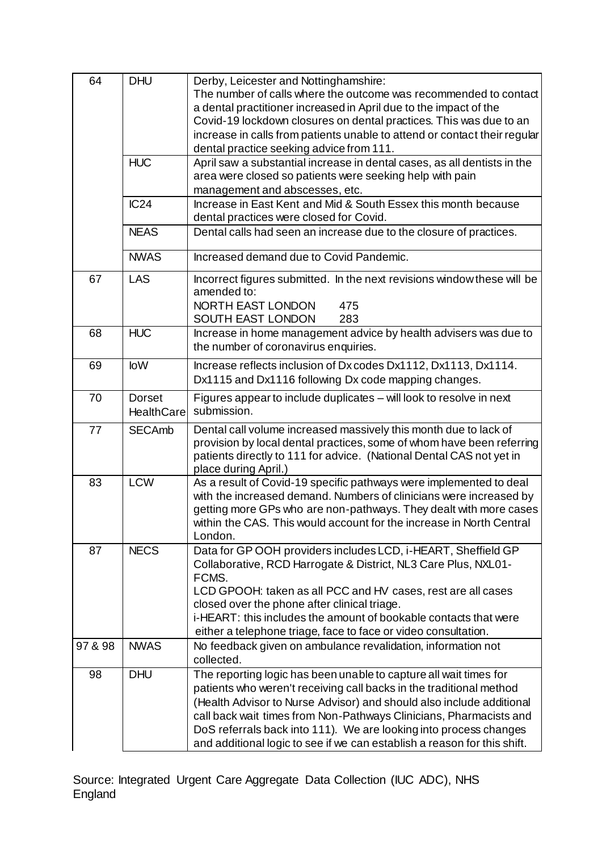| 64      | <b>DHU</b>        | Derby, Leicester and Nottinghamshire:                                      |
|---------|-------------------|----------------------------------------------------------------------------|
|         |                   | The number of calls where the outcome was recommended to contact           |
|         |                   | a dental practitioner increased in April due to the impact of the          |
|         |                   | Covid-19 lockdown closures on dental practices. This was due to an         |
|         |                   | increase in calls from patients unable to attend or contact their regular  |
|         |                   | dental practice seeking advice from 111.                                   |
|         | <b>HUC</b>        | April saw a substantial increase in dental cases, as all dentists in the   |
|         |                   | area were closed so patients were seeking help with pain                   |
|         |                   | management and abscesses, etc.                                             |
|         | IC24              | Increase in East Kent and Mid & South Essex this month because             |
|         |                   | dental practices were closed for Covid.                                    |
|         | <b>NEAS</b>       | Dental calls had seen an increase due to the closure of practices.         |
|         |                   |                                                                            |
|         | <b>NWAS</b>       | Increased demand due to Covid Pandemic.                                    |
| 67      | <b>LAS</b>        | Incorrect figures submitted. In the next revisions window these will be    |
|         |                   | amended to:                                                                |
|         |                   | NORTH EAST LONDON<br>475                                                   |
|         |                   | SOUTH EAST LONDON<br>283                                                   |
| 68      | <b>HUC</b>        | Increase in home management advice by health advisers was due to           |
|         |                   | the number of coronavirus enquiries.                                       |
| 69      | <b>loW</b>        | Increase reflects inclusion of Dx codes Dx1112, Dx1113, Dx1114.            |
|         |                   | Dx1115 and Dx1116 following Dx code mapping changes.                       |
| 70      | <b>Dorset</b>     | Figures appear to include duplicates - will look to resolve in next        |
|         | <b>HealthCare</b> | submission.                                                                |
| 77      | <b>SECAmb</b>     | Dental call volume increased massively this month due to lack of           |
|         |                   | provision by local dental practices, some of whom have been referring      |
|         |                   | patients directly to 111 for advice. (National Dental CAS not yet in       |
|         |                   | place during April.)                                                       |
| 83      | <b>LCW</b>        | As a result of Covid-19 specific pathways were implemented to deal         |
|         |                   | with the increased demand. Numbers of clinicians were increased by         |
|         |                   | getting more GPs who are non-pathways. They dealt with more cases          |
|         |                   | within the CAS. This would account for the increase in North Central       |
|         |                   | London.                                                                    |
| 87      | <b>NECS</b>       | Data for GP OOH providers includes LCD, i-HEART, Sheffield GP              |
|         |                   | Collaborative, RCD Harrogate & District, NL3 Care Plus, NXL01-             |
|         |                   | FCMS.                                                                      |
|         |                   | LCD GPOOH: taken as all PCC and HV cases, rest are all cases               |
|         |                   | closed over the phone after clinical triage.                               |
|         |                   | i-HEART: this includes the amount of bookable contacts that were           |
|         |                   | either a telephone triage, face to face or video consultation.             |
| 97 & 98 | <b>NWAS</b>       | No feedback given on ambulance revalidation, information not<br>collected. |
| 98      | <b>DHU</b>        | The reporting logic has been unable to capture all wait times for          |
|         |                   | patients who weren't receiving call backs in the traditional method        |
|         |                   | (Health Advisor to Nurse Advisor) and should also include additional       |
|         |                   | call back wait times from Non-Pathways Clinicians, Pharmacists and         |
|         |                   | DoS referrals back into 111). We are looking into process changes          |
|         |                   | and additional logic to see if we can establish a reason for this shift.   |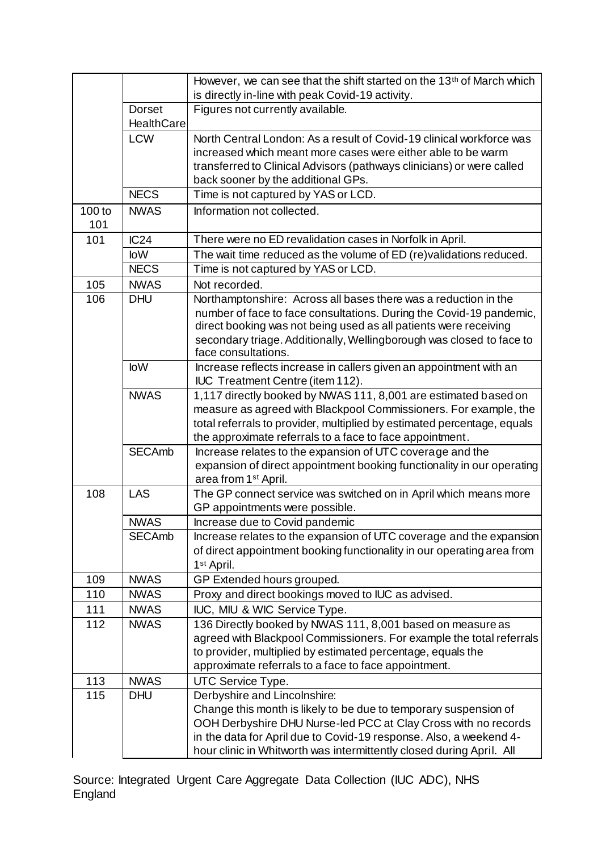|               |                   | However, we can see that the shift started on the 13 <sup>th</sup> of March which                                                  |
|---------------|-------------------|------------------------------------------------------------------------------------------------------------------------------------|
|               |                   | is directly in-line with peak Covid-19 activity.                                                                                   |
|               | <b>Dorset</b>     | Figures not currently available.                                                                                                   |
|               | <b>HealthCare</b> |                                                                                                                                    |
|               | <b>LCW</b>        | North Central London: As a result of Covid-19 clinical workforce was                                                               |
|               |                   | increased which meant more cases were either able to be warm                                                                       |
|               |                   | transferred to Clinical Advisors (pathways clinicians) or were called                                                              |
|               |                   | back sooner by the additional GPs.                                                                                                 |
|               | <b>NECS</b>       | Time is not captured by YAS or LCD.                                                                                                |
| 100 to<br>101 | <b>NWAS</b>       | Information not collected.                                                                                                         |
| 101           | IC24              | There were no ED revalidation cases in Norfolk in April.                                                                           |
|               | <b>loW</b>        | The wait time reduced as the volume of ED (re)validations reduced.                                                                 |
|               | <b>NECS</b>       | Time is not captured by YAS or LCD.                                                                                                |
| 105           | <b>NWAS</b>       | Not recorded.                                                                                                                      |
| 106           | <b>DHU</b>        | Northamptonshire: Across all bases there was a reduction in the                                                                    |
|               |                   | number of face to face consultations. During the Covid-19 pandemic,                                                                |
|               |                   | direct booking was not being used as all patients were receiving                                                                   |
|               |                   | secondary triage. Additionally, Wellingborough was closed to face to                                                               |
|               | <b>loW</b>        | face consultations.<br>Increase reflects increase in callers given an appointment with an                                          |
|               |                   | <b>IUC</b> Treatment Centre (item 112).                                                                                            |
|               | <b>NWAS</b>       | 1,117 directly booked by NWAS 111, 8,001 are estimated based on                                                                    |
|               |                   | measure as agreed with Blackpool Commissioners. For example, the                                                                   |
|               |                   | total referrals to provider, multiplied by estimated percentage, equals                                                            |
|               |                   | the approximate referrals to a face to face appointment.                                                                           |
|               | <b>SECAmb</b>     | Increase relates to the expansion of UTC coverage and the                                                                          |
|               |                   | expansion of direct appointment booking functionality in our operating                                                             |
|               |                   | area from 1 <sup>st</sup> April.                                                                                                   |
| 108           | <b>LAS</b>        | The GP connect service was switched on in April which means more                                                                   |
|               |                   | GP appointments were possible.                                                                                                     |
|               | <b>NWAS</b>       | Increase due to Covid pandemic                                                                                                     |
|               | <b>SECAmb</b>     | Increase relates to the expansion of UTC coverage and the expansion                                                                |
|               |                   | of direct appointment booking functionality in our operating area from                                                             |
|               |                   | 1 <sup>st</sup> April.                                                                                                             |
| 109           | <b>NWAS</b>       | GP Extended hours grouped.                                                                                                         |
| 110           | <b>NWAS</b>       | Proxy and direct bookings moved to IUC as advised.                                                                                 |
| 111           | <b>NWAS</b>       | IUC, MIU & WIC Service Type.                                                                                                       |
| 112           | <b>NWAS</b>       | 136 Directly booked by NWAS 111, 8,001 based on measure as<br>agreed with Blackpool Commissioners. For example the total referrals |
|               |                   | to provider, multiplied by estimated percentage, equals the                                                                        |
|               |                   | approximate referrals to a face to face appointment.                                                                               |
| 113           | <b>NWAS</b>       | UTC Service Type.                                                                                                                  |
| 115           | <b>DHU</b>        | Derbyshire and Lincolnshire:                                                                                                       |
|               |                   | Change this month is likely to be due to temporary suspension of                                                                   |
|               |                   | OOH Derbyshire DHU Nurse-led PCC at Clay Cross with no records                                                                     |
|               |                   | in the data for April due to Covid-19 response. Also, a weekend 4-                                                                 |
|               |                   | hour clinic in Whitworth was intermittently closed during April. All                                                               |

Source: Integrated Urgent Care Aggregate Data Collection (IUC ADC), NHS England